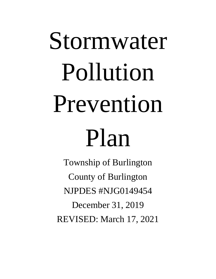# Stormwater Pollution Prevention Plan

Township of Burlington County of Burlington NJPDES #NJG0149454 December 31, 2019 REVISED: March 17, 2021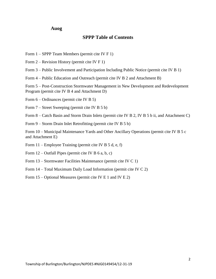#### **Auog**

#### **SPPP Table of Contents**

- Form 1 SPPP Team Members (permit cite IV F 1)
- Form 2 Revision History (permit cite IV F 1)

Form 3 – Public Involvement and Participation Including Public Notice (permit cite IV B 1)

Form 4 – Public Education and Outreach (permit cite IV B 2 and Attachment B)

Form 5 – Post-Construction Stormwater Management in New Development and Redevelopment Program (permit cite IV B 4 and Attachment D)

Form 6 – Ordinances (permit cite IV B 5)

Form 7 – Street Sweeping (permit cite IV B 5 b)

Form 8 – Catch Basin and Storm Drain Inlets (permit cite IV B 2, IV B 5 b ii, and Attachment C)

Form 9 – Storm Drain Inlet Retrofitting (permit cite IV B 5 b)

Form 10 – Municipal Maintenance Yards and Other Ancillary Operations (permit cite IV B 5 c and Attachment E)

- Form 11 Employee Training (permit cite IV B 5 d, e, f)
- Form  $12$  Outfall Pipes (permit cite IV B 6 a, b, c)
- Form 13 Stormwater Facilities Maintenance (permit cite IV C 1)
- Form 14 Total Maximum Daily Load Information (permit cite IV C 2)
- Form 15 Optional Measures (permit cite IV E 1 and IV E 2)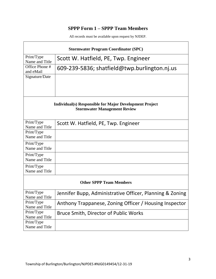## **SPPP Form 1 – SPPP Team Members**

| <b>Stormwater Program Coordinator (SPC)</b> |                                                                                                       |  |  |  |
|---------------------------------------------|-------------------------------------------------------------------------------------------------------|--|--|--|
| Print/Type<br>Name and Title                | Scott W. Hatfield, PE, Twp. Engineer                                                                  |  |  |  |
| Office Phone #<br>and eMail                 | 609-239-5836; shatfield@twp.burlington.nj.us                                                          |  |  |  |
| Signature/Date                              |                                                                                                       |  |  |  |
|                                             | <b>Individual(s) Responsible for Major Development Project</b><br><b>Stormwater Management Review</b> |  |  |  |
| Print/Type<br>Name and Title                | Scott W. Hatfield, PE, Twp. Engineer                                                                  |  |  |  |
| Print/Type<br>Name and Title                |                                                                                                       |  |  |  |
| Print/Type<br>Name and Title                |                                                                                                       |  |  |  |
| Print/Type<br>Name and Title                |                                                                                                       |  |  |  |
| Print/Type<br>Name and Title                |                                                                                                       |  |  |  |
| <b>Other SPPP Team Members</b>              |                                                                                                       |  |  |  |
| Print/Type<br>Name and Title                | Jennifer Bupp, Administrative Officer, Planning & Zoning                                              |  |  |  |
| Print/Type<br>Name and Title                | Anthony Trappanese, Zoning Officer / Housing Inspector                                                |  |  |  |
| Print/Type<br>Name and Title                | Bruce Smith, Director of Public Works                                                                 |  |  |  |
| Print/Type<br>Name and Title                |                                                                                                       |  |  |  |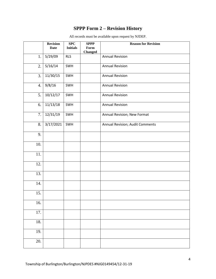## **SPPP Form 2 – Revision History**

|                  | <b>Revision</b><br><b>Date</b> | SPC<br><b>Initials</b> | <b>SPPP</b><br>Form | <b>Reason for Revision</b>      |
|------------------|--------------------------------|------------------------|---------------------|---------------------------------|
|                  |                                |                        | <b>Changed</b>      |                                 |
| 1.               | 5/29/09                        | <b>RLS</b>             |                     | <b>Annual Revision</b>          |
| 2.               | 5/16/14                        | SWH                    |                     | <b>Annual Revision</b>          |
| 3.               | 11/30/15                       | SWH                    |                     | <b>Annual Revision</b>          |
| $\overline{4}$ . | 9/8/16                         | SWH                    |                     | <b>Annual Revision</b>          |
| 5.               | 10/12/17                       | SWH                    |                     | <b>Annual Revision</b>          |
| 6.               | 11/13/18                       | SWH                    |                     | <b>Annual Revision</b>          |
| 7.               | 12/31/19                       | SWH                    |                     | Annual Revision; New Format     |
| 8.               | 3/17/2021                      | SWH                    |                     | Annual Revision; Audit Comments |
| 9.               |                                |                        |                     |                                 |
| 10.              |                                |                        |                     |                                 |
| 11.              |                                |                        |                     |                                 |
| 12.              |                                |                        |                     |                                 |
| 13.              |                                |                        |                     |                                 |
| 14.              |                                |                        |                     |                                 |
| 15.              |                                |                        |                     |                                 |
| 16.              |                                |                        |                     |                                 |
| 17.              |                                |                        |                     |                                 |
| 18.              |                                |                        |                     |                                 |
| 19.              |                                |                        |                     |                                 |
| 20.              |                                |                        |                     |                                 |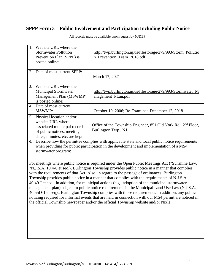## **SPPP Form 3 – Public Involvement and Participation Including Public Notice**

| 1.<br>Website URL where the<br><b>Stormwater Pollution</b><br>Prevention Plan (SPPP) is<br>posted online:                                                                                                             | http://twp.burlington.nj.us/filestorage/279/993/Storm_Pollutio<br>n_Prevention_Team_2018.pdf                                                                                                                                                                                                                                                                                                                                                                                                                                                                                                                                                                                                                                                                                                                                                                                                           |  |  |  |
|-----------------------------------------------------------------------------------------------------------------------------------------------------------------------------------------------------------------------|--------------------------------------------------------------------------------------------------------------------------------------------------------------------------------------------------------------------------------------------------------------------------------------------------------------------------------------------------------------------------------------------------------------------------------------------------------------------------------------------------------------------------------------------------------------------------------------------------------------------------------------------------------------------------------------------------------------------------------------------------------------------------------------------------------------------------------------------------------------------------------------------------------|--|--|--|
| 2. Date of most current SPPP:                                                                                                                                                                                         | March 17, 2021                                                                                                                                                                                                                                                                                                                                                                                                                                                                                                                                                                                                                                                                                                                                                                                                                                                                                         |  |  |  |
| Website URL where the<br>3.<br><b>Municipal Stormwater</b><br>Management Plan (MSWMP)<br>is posted online:                                                                                                            | http://twp.burlington.nj.us/filestorage/279/993/Stormwater_M<br>anagement_PLan.pdf                                                                                                                                                                                                                                                                                                                                                                                                                                                                                                                                                                                                                                                                                                                                                                                                                     |  |  |  |
| 4. Date of most current<br><b>MSWMP:</b>                                                                                                                                                                              | October 10, 2006; Re-Examined December 12, 2018                                                                                                                                                                                                                                                                                                                                                                                                                                                                                                                                                                                                                                                                                                                                                                                                                                                        |  |  |  |
| 5. Physical location and/or<br>website URL where<br>associated municipal records<br>of public notices, meeting<br>dates, minutes, etc. are kept:                                                                      | Office of the Township Engineer, 851 Old York Rd., 2 <sup>nd</sup> Floor,<br>Burlington Twp., NJ                                                                                                                                                                                                                                                                                                                                                                                                                                                                                                                                                                                                                                                                                                                                                                                                       |  |  |  |
| Describe how the permittee complies with applicable state and local public notice requirements<br>6.<br>when providing for public participation in the development and implementation of a MS4<br>stormwater program: |                                                                                                                                                                                                                                                                                                                                                                                                                                                                                                                                                                                                                                                                                                                                                                                                                                                                                                        |  |  |  |
|                                                                                                                                                                                                                       | For meetings where public notice is required under the Open Public Meetings Act ("Sunshine Law,<br>"N.J.S.A. 10:4-6 et seq.), Burlington Township provides public notice in a manner that complies<br>with the requirements of that Act. Also, in regard to the passage of ordinances, Burlington<br>Township provides public notice in a manner that complies with the requirements of N.J.S.A.<br>40:49-I et seq. In addition, for municipal actions (e.g., adoption of the municipal stormwater<br>management plan) subject to public notice requirements in the Municipal Land Use Law (N.J.S.A.<br>40:55D-1 et seq)., Burlington Township complies with those requirements. In addition, any public<br>noticing required for informal events that are held in connection with our MS4 permit are noticed in<br>the official Township newspaper and/or the official Township website and/or Nixle. |  |  |  |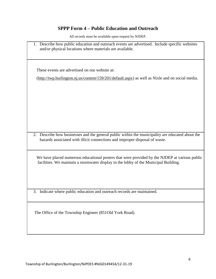## **SPPP Form 4 – Public Education and Outreach**

| 1. Describe how public education and outreach events are advertised. Include specific websites<br>and/or physical locations where materials are available.                            |
|---------------------------------------------------------------------------------------------------------------------------------------------------------------------------------------|
| These events are advertised on our website at:                                                                                                                                        |
|                                                                                                                                                                                       |
| $(\frac{http://two.burlington.nj.us/content/159/201/default.aspx)}$ as well as Nixle and on social media.                                                                             |
|                                                                                                                                                                                       |
| 2. Describe how businesses and the general public within the municipality are educated about the                                                                                      |
| hazards associated with illicit connections and improper disposal of waste.                                                                                                           |
| We have placed numerous educational posters that were provided by the NJDEP at various public<br>facilities. We maintain a stormwater display in the lobby of the Municipal Building. |
| 3. Indicate where public education and outreach records are maintained.                                                                                                               |
| The Office of the Township Engineer (851Old York Road).                                                                                                                               |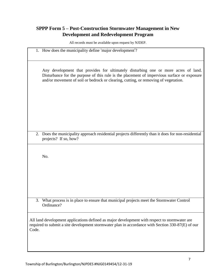## **SPPP Form 5 – Post-Construction Stormwater Management in New Development and Redevelopment Program**

|       | 1. How does the municipality define 'major development'?                                                                                                                                                                                                                 |
|-------|--------------------------------------------------------------------------------------------------------------------------------------------------------------------------------------------------------------------------------------------------------------------------|
|       | Any development that provides for ultimately disturbing one or more acres of land.<br>Disturbance for the purpose of this rule is the placement of impervious surface or exposure<br>and/or movement of soil or bedrock or clearing, cutting, or removing of vegetation. |
|       |                                                                                                                                                                                                                                                                          |
|       | 2. Does the municipality approach residential projects differently than it does for non-residential<br>projects? If so, how?                                                                                                                                             |
|       | No.                                                                                                                                                                                                                                                                      |
|       |                                                                                                                                                                                                                                                                          |
| 3.    | What process is in place to ensure that municipal projects meet the Stormwater Control<br>Ordinance?                                                                                                                                                                     |
| Code. | All land development applications defined as major development with respect to stormwater are<br>required to submit a site development stormwater plan in accordance with Section 330-87(E) of our                                                                       |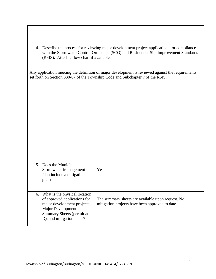| 4. Describe the process for reviewing major development project applications for compliance<br>with the Stormwater Control Ordinance (SCO) and Residential Site Improvement Standards<br>(RSIS). Attach a flow chart if available. |                                                                                                      |  |  |  |
|------------------------------------------------------------------------------------------------------------------------------------------------------------------------------------------------------------------------------------|------------------------------------------------------------------------------------------------------|--|--|--|
| Any application meeting the definition of major development is reviewed against the requirements<br>set forth on Section 330-87 of the Township Code and Subchapter 7 of the RSIS.                                                 |                                                                                                      |  |  |  |
| 5. Does the Municipal<br><b>Stormwater Management</b><br>Plan include a mitigation<br>plan?                                                                                                                                        | Yes.                                                                                                 |  |  |  |
| What is the physical location<br>6.<br>of approved applications for<br>major development projects,<br><b>Major Development</b><br>Summary Sheets (permit att.<br>D), and mitigation plans?                                         | The summary sheets are available upon request. No<br>mitigation projects have been approved to date. |  |  |  |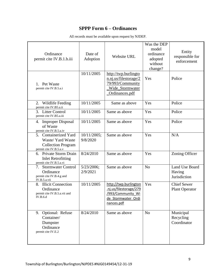#### **SPPP Form 6 – Ordinances**

| All records must be available upon request by NJDEP. |  |  |  |  |  |
|------------------------------------------------------|--|--|--|--|--|
|------------------------------------------------------|--|--|--|--|--|

| Ordinance<br>permit cite IV.B.1.b.iii                                                             | Date of<br>Adoption     | Website URL                                                                                              | Was the DEP<br>model<br>ordinance<br>adopted<br>without<br>change? | Entity<br>responsible for<br>enforcement    |
|---------------------------------------------------------------------------------------------------|-------------------------|----------------------------------------------------------------------------------------------------------|--------------------------------------------------------------------|---------------------------------------------|
| 1. Pet Waste<br>permit cite IV.B.5.a.i                                                            | 10/11/2005              | http://twp.burlingto<br>n.nj.us/filestorage/2<br>79/993/Community<br>Wide_Stormwater<br>Ordinances.pdf   | Yes                                                                | Police                                      |
| 2.<br>Wildlife Feeding<br>permit cite IV.B5.a.ii                                                  | 10/11/2005              | Same as above                                                                                            | Yes                                                                | Police                                      |
| 3. Litter Control<br>permit cite IV.B5.a.iii                                                      | 10/11/2005              | Same as above                                                                                            | Yes                                                                | Police                                      |
| 4. Improper Disposal<br>of Waste<br>permit cite IV.B.5.a.iv                                       | 10/11/2005              | Same as above                                                                                            | Yes                                                                | Police                                      |
| 5. Containerized Yard<br>Waste/ Yard Waste<br><b>Collection Program</b><br>permit cite IV.B.5.a.v | 10/11/2005;<br>9/8/2020 | Same as above                                                                                            | Yes                                                                | N/A                                         |
| 6. Private Storm Drain<br><b>Inlet Retrofitting</b><br>permit cite IV.B.5.a.vi                    | 8/24/2010               | Same as above                                                                                            | Yes                                                                | Zoning Officer                              |
| 7. Stormwater Control<br>Ordinance<br>permit cite IV.B.4.g and<br>IV.B.5.a.vii                    | 5/23/2006;<br>2/9/2021  | Same as above                                                                                            | N <sub>o</sub>                                                     | Land Use Board<br>Having<br>Jurisdiction    |
| 8. Illicit Connection<br>Ordinance<br>permit cite IV.B.5.a.vii and<br>IV.B.6.d                    | 10/11/2005              | http://twp.burlington<br>.nj.us/filestorage/279<br>/993/Community Wi<br>de Stormwater Ordi<br>nances.pdf | Yes                                                                | <b>Chief Sewer</b><br><b>Plant Operator</b> |
| Optional: Refuse<br>9.<br>Container/<br>Dumpster<br>Ordinance<br>permit cite IV.E.2               | 8/24/2010               | Same as above                                                                                            | N <sub>o</sub>                                                     | Municipal<br>Recycling<br>Coordinator       |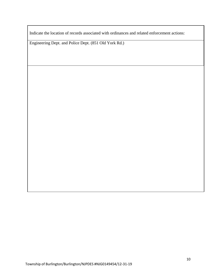Indicate the location of records associated with ordinances and related enforcement actions:

Engineering Dept. and Police Dept. (851 Old York Rd.)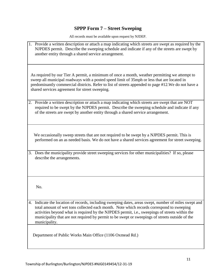# **SPPP Form 7 – Street Sweeping**

| 1. Provide a written description or attach a map indicating which streets are swept as required by the<br>NJPDES permit. Describe the sweeping schedule and indicate if any of the streets are swept by<br>another entity through a shared service arrangement.                                                                                                                                                         |
|-------------------------------------------------------------------------------------------------------------------------------------------------------------------------------------------------------------------------------------------------------------------------------------------------------------------------------------------------------------------------------------------------------------------------|
| As required by our Tier A permit, a minimum of once a month, weather permitting we attempt to<br>sweep all municipal roadways with a posted speed limit of 35mph or less that are located in<br>predominantly commercial districts. Refer to list of streets appended to page #12. We do not have a<br>shared services agreement for street sweeping.                                                                   |
| 2. Provide a written description or attach a map indicating which streets are swept that are NOT<br>required to be swept by the NJPDES permit. Describe the sweeping schedule and indicate if any<br>of the streets are swept by another entity through a shared service arrangement.                                                                                                                                   |
| We occasionally sweep streets that are not required to be swept by a NJPDES permit. This is<br>performed on an as needed basis. We do not have a shared services agreement for street sweeping.                                                                                                                                                                                                                         |
| 3. Does the municipality provide street sweeping services for other municipalities? If so, please<br>describe the arrangements.                                                                                                                                                                                                                                                                                         |
| No.                                                                                                                                                                                                                                                                                                                                                                                                                     |
| 4. Indicate the location of records, including sweeping dates, areas swept, number of miles swept and<br>total amount of wet tons collected each month. Note which records correspond to sweeping<br>activities beyond what is required by the NJPDES permit, i.e., sweepings of streets within the<br>municipality that are not required by permit to be swept or sweepings of streets outside of the<br>municipality. |
| Department of Public Works Main Office (1106 Oxmead Rd.)                                                                                                                                                                                                                                                                                                                                                                |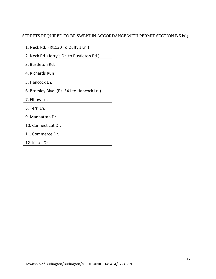#### STREETS REQUIRED TO BE SWEPT IN ACCORDANCE WITH PERMIT SECTION B.5.b(i)

- 1. Neck Rd. (Rt.130 To Dulty's Ln.)
- 2. Neck Rd. (Jerry's Dr. to Bustleton Rd.)
- 3. Bustleton Rd.
- 4. Richards Run
- 5. Hancock Ln.
- 6. Bromley Blvd. (Rt. 541 to Hancock Ln.)
- 7. Elbow Ln.
- 8. Terri Ln.
- 9. Manhattan Dr.
- 10. Connecticut Dr.
- 11. Commerce Dr.
- 12. Kissel Dr.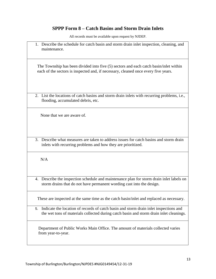## **SPPP Form 8 – Catch Basins and Storm Drain Inlets**

| 1. Describe the schedule for catch basin and storm drain inlet inspection, cleaning, and<br>maintenance.                                                                               |
|----------------------------------------------------------------------------------------------------------------------------------------------------------------------------------------|
| The Township has been divided into five (5) sectors and each catch basin/inlet within<br>each of the sectors is inspected and, if necessary, cleaned once every five years.            |
| 2. List the locations of catch basins and storm drain inlets with recurring problems, i.e.,<br>flooding, accumulated debris, etc.                                                      |
| None that we are aware of.                                                                                                                                                             |
| Describe what measures are taken to address issues for catch basins and storm drain<br>3.<br>inlets with recurring problems and how they are prioritized.                              |
| N/A                                                                                                                                                                                    |
| Describe the inspection schedule and maintenance plan for storm drain inlet labels on<br>4.<br>storm drains that do not have permanent wording cast into the design.                   |
| These are inspected at the same time as the catch basin/inlet and replaced as necessary.                                                                                               |
| Indicate the location of records of catch basin and storm drain inlet inspections and<br>5.<br>the wet tons of materials collected during catch basin and storm drain inlet cleanings. |
| Department of Public Works Main Office. The amount of materials collected varies<br>from year-to-year.                                                                                 |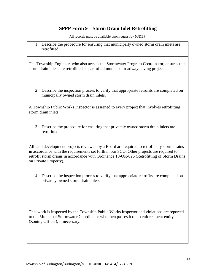#### **SPPP Form 9 – Storm Drain Inlet Retrofitting**

All records must be available upon request by NJDEP.

1. Describe the procedure for ensuring that municipally owned storm drain inlets are retrofitted.

The Township Engineer, who also acts as the Stormwater Program Coordinator, ensures that storm drain inlets are retrofitted as part of all municipal roadway paving projects.

2. Describe the inspection process to verify that appropriate retrofits are completed on municipally owned storm drain inlets.

A Township Public Works Inspector is assigned to every project that involves retrofitting storm drain inlets.

3. Describe the procedure for ensuring that privately owned storm drain inlets are retrofitted.

All land development projects reviewed by a Board are required to retrofit any storm drains in accordance with the requirements set forth in our SCO. Other projects are required to retrofit storm drains in accordance with Ordinance 10-OR-026 (Retrofitting of Storm Drains on Private Property).

4. Describe the inspection process to verify that appropriate retrofits are completed on privately owned storm drain inlets.

This work is inspected by the Township Public Works Inspector and violations are reported to the Municipal Stormwater Coordinator who then passes it on to enforcement entity (Zoning Officer), if necessary.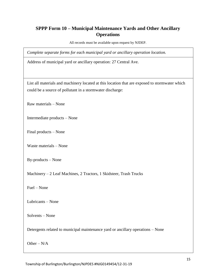#### **SPPP Form 10 – Municipal Maintenance Yards and Other Ancillary Operations**

All records must be available upon request by NJDEP.

*Complete separate forms for each municipal yard or ancillary operation location.*

Address of municipal yard or ancillary operation: 27 Central Ave.

List all materials and machinery located at this location that are exposed to stormwater which could be a source of pollutant in a stormwater discharge:

Raw materials – None

Intermediate products – None

Final products – None

Waste materials – None

By-products – None

Machinery – 2 Leaf Machines, 2 Tractors, 1 Skidsteer, Trash Trucks

Fuel – None

Lubricants – None

Solvents – None

Detergents related to municipal maintenance yard or ancillary operations – None

Other –  $N/A$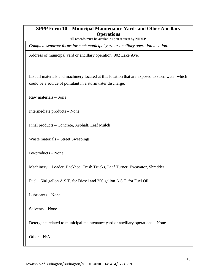#### **SPPP Form 10 – Municipal Maintenance Yards and Other Ancillary Operations**

All records must be available upon request by NJDEP.

*Complete separate forms for each municipal yard or ancillary operation location.*

Address of municipal yard or ancillary operation: 902 Lake Ave.

List all materials and machinery located at this location that are exposed to stormwater which could be a source of pollutant in a stormwater discharge:

Raw materials – Soils

Intermediate products – None

Final products – Concrete, Asphalt, Leaf Mulch

Waste materials – Street Sweepings

By-products – None

Machinery – Loader, Backhoe, Trash Trucks, Leaf Turner, Excavator, Shredder

Fuel – 500 gallon A.S.T. for Diesel and 250 gallon A.S.T. for Fuel Oil

Lubricants – None

Solvents – None

Detergents related to municipal maintenance yard or ancillary operations – None

Other – N/A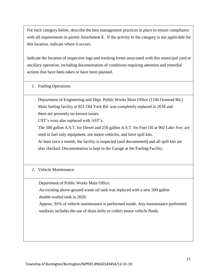For each category below, describe the best management practices in place to ensure compliance with all requirements in permit Attachment E. If the activity in the category is not applicable for this location, indicate where it occurs.

Indicate the location of inspection logs and tracking forms associated with this municipal yard or ancillary operation, including documentation of conditions requiring attention and remedial actions that have been taken or have been planned.

1. Fueling Operations

Department of Engineering and Dept. Public Works Main Office (1106 Oxmead Rd.) Main fueling facility at 851 Old York Rd. was completely replaced in 2018 and there are presently no known issues.

UST's were also replaced with AST's.

The 500 gallon A.S.T. for Diesel and 250 gallon A.S.T. for Fuel Oil at 902 Lake Ave. are used to fuel only equipment, not motor vehicles, and have spill kits.

At least once a month, the facility is inspected (and documented) and all spill kits are also checked. Documentation is kept in the Garage at the Fueling Facility.

#### 2. Vehicle Maintenance

Department of Public Works Main Office.

 An existing above-ground waste oil tank was replaced with a new 500 gallon double-walled tank in 2020.

 Approx. 95% of vehicle maintenance is performed inside. Any maintenance performed outdoors includes the use of drain dolly to collect motor vehicle fluids.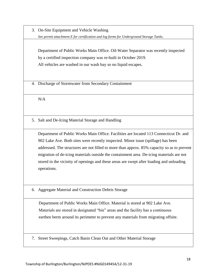3. On-Site Equipment and Vehicle Washing *See permit attachment E for certification and log forms for Underground Storage Tanks.* 

Department of Public Works Main Office. Oil-Water Separator was recently inspected by a certified inspection company was re-built in October 2019. All vehicles are washed in our wash bay so no liquid escapes.

4. Discharge of Stormwater from Secondary Containment

N/A

5. Salt and De-Icing Material Storage and Handling

Department of Public Works Main Office. Facilities are located 113 Connecticut Dr. and 902 Lake Ave. Both sites were recently inspected. Minor issue (spillage) has been addressed. The structures are not filled to more than approx. 85% capacity so as to prevent migration of de-icing materials outside the containment area. De-icing materials are not stored in the vicinity of openings and these areas are swept after loading and unloading operations.

6. Aggregate Material and Construction Debris Storage

 Department of Public Works Main Office. Material is stored at 902 Lake Ave. Materials are stored in designated "bin" areas and the facility has a continuous earthen berm around its perimeter to prevent any materials from migrating offsite.

7. Street Sweepings, Catch Basin Clean Out and Other Material Storage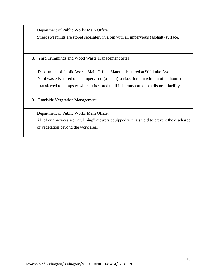Department of Public Works Main Office.

Street sweepings are stored separately in a bin with an impervious (asphalt) surface.

8. Yard Trimmings and Wood Waste Management Sites

 Department of Public Works Main Office. Material is stored at 902 Lake Ave. Yard waste is stored on an impervious (asphalt) surface for a maximum of 24 hours then transferred to dumpster where it is stored until it is transported to a disposal facility.

9. Roadside Vegetation Management

Department of Public Works Main Office.

 All of our mowers are "mulching" mowers equipped with a shield to prevent the discharge of vegetation beyond the work area.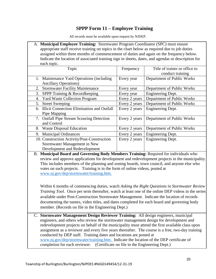#### **SPPP Form 11 – Employee Training**

All records must be available upon request by NJDEP.

| A. Municipal Employee Training: Stormwater Program Coordinator (SPC) must ensure                   |
|----------------------------------------------------------------------------------------------------|
| appropriate staff receive training on topics in the chart below as required due to job duties      |
| assigned within three months of commencement of duties and again on the frequency below.           |
| Indicate the location of associated training sign in sheets, dates, and agendas or description for |
| each topic.                                                                                        |

| Topic                                         | Frequency     | Title of trainer or office to |
|-----------------------------------------------|---------------|-------------------------------|
|                                               |               | conduct training              |
| 1. Maintenance Yard Operations (including)    | Every year    | Department of Public Works    |
| <b>Ancillary Operations</b> )                 |               |                               |
| 2. Stormwater Facility Maintenance            | Every year    | Department of Public Works    |
| 3. SPPP Training & Recordkeeping              | Every year    | Engineering Dept.             |
| <b>Yard Waste Collection Program</b><br>4.    | Every 2 years | Department of Public Works    |
| <b>Street Sweeping</b><br>5.                  | Every 2 years | Department of Public Works    |
| 6. Illicit Connection Elimination and Outfall | Every 2 years | <b>Engineering Dept.</b>      |
| Pipe Mapping                                  |               |                               |
| 7. Outfall Pipe Stream Scouring Detection     | Every 2 years | Department of Public Works    |
| and Control                                   |               |                               |
| <b>Waste Disposal Education</b><br>8.         | Every 2 years | Department of Public Works    |
| <b>Municipal Ordinances</b><br>9.             | Every 2 years | Engineering Dept.             |
| 10. Construction Activity/Post-Construction   | Every 2 years | Engineering Dept.             |
| Stormwater Management in New                  |               |                               |
| Development and Redevelopment                 |               |                               |

B. **Municipal Board and Governing Body Members Training:** Required for individuals who review and approve applications for development and redevelopment projects in the municipality. This includes members of the planning and zoning boards, town council, and anyone else who votes on such projects. Training is in the form of online videos, posted at [www.nj.gov/dep/stormwater/training.htm.](http://www.nj.gov/dep/stormwater/training.htm)

Within 6 months of commencing duties, watch *Asking the Right Questions in Stormwater Review Training Tool*. Once per term thereafter, watch at least one of the online DEP videos in the series available under Post-Construction Stormwater Management. Indicate the location of records documenting the names, video titles, and dates completed for each board and governing body member. (Records on file in the Engineering Dept.)

C. **Stormwater Management Design Reviewer Training:** All design engineers, municipal engineers, and others who review the stormwater management design for development and redevelopment projects on behalf of the municipality must attend the first available class upon assignment as a reviewer and every five years thereafter. The course is a free, two-day training conducted by DEP staff. Training dates and locations are posted at [www.nj.gov/dep/stormwater/training.htm.](http://www.nj.gov/dep/stormwater/training.htm) Indicate the location of the DEP certificate of completion for each reviewer. (Certificate on file in the Engineering Dept.)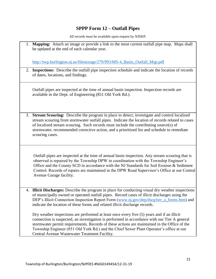# **SPPP Form 12 – Outfall Pipes**

|    | 1. Mapping: Attach an image or provide a link to the most current outfall pipe map. Maps shall<br>be updated at the end of each calendar year.                                                                                                                                                                                                                                                                                         |
|----|----------------------------------------------------------------------------------------------------------------------------------------------------------------------------------------------------------------------------------------------------------------------------------------------------------------------------------------------------------------------------------------------------------------------------------------|
|    | http://twp.burlington.nj.us/filestorage/279/993/MS-4_Basin_Outfall_Map.pdf                                                                                                                                                                                                                                                                                                                                                             |
|    | 2. Inspections: Describe the outfall pipe inspection schedule and indicate the location of records<br>of dates, locations, and findings.                                                                                                                                                                                                                                                                                               |
|    | Outfall pipes are inspected at the time of annual basin inspection. Inspection records are<br>available in the Dept. of Engineering (851 Old York Rd.).                                                                                                                                                                                                                                                                                |
|    | 3. Stream Scouring: Describe the program in place to detect, investigate and control localized<br>stream scouring from stormwater outfall pipes. Indicate the location of records related to cases<br>of localized stream scouring. Such records must include the contributing source(s) of<br>stormwater, recommended corrective action, and a prioritized list and schedule to remediate<br>scouring cases.                          |
|    | Outfall pipes are inspected at the time of annual basin inspection. Any stream scouring that is<br>observed is repaired by the Township DPW in coordination with the Township Engineer's<br>Office and the County SCD in accordance with the NJ Standards for Soil Erosion & Sediment<br>Control. Records of repairs are maintained in the DPW Road Supervisor's Office at our Central<br>Avenue Garage facility.                      |
| 4. | <b>Illicit Discharges:</b> Describe the program in place for conducting visual dry weather inspections<br>of municipally owned or operated outfall pipes. Record cases of illicit discharges using the<br>DEP's Illicit Connection Inspection Report Form (www.nj.gov/dep/dwq/tier_a_forms.htm) and<br>indicate the location of these forms and related illicit discharge records.                                                     |
|    | Dry weather inspections are performed at least once every five (5) years and if an illicit<br>connection is suspected, an investigation is performed in accordance with our Tier A general<br>stormwater permit requirements. Records of these actions are maintained in the Office of the<br>Township Engineer (851 Old York Rd.) and the Chief Sewer Plant Operator's office at our<br>Central Avenue Wastewater Treatment Facility. |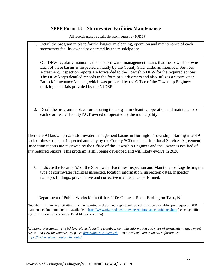#### **SPPP Form 13 – Stormwater Facilities Maintenance**

All records must be available upon request by NJDEP.

1. Detail the program in place for the long-term cleaning, operation and maintenance of each stormwater facility owned or operated by the municipality.

Our DPW regularly maintains the 63 stormwater management basins that the Township owns. Each of these basins is inspected annually by the County SCD under an Interlocal Services Agreement. Inspection reports are forwarded to the Township DPW for the required actions. The DPW keeps detailed records in the form of work orders and also utilizes a Stormwater Basin Maintenance Manual, which was prepared by the Office of the Township Engineer utilizing materials provided by the NJDEP.

2. Detail the program in place for ensuring the long-term cleaning, operation and maintenance of each stormwater facility NOT owned or operated by the municipality.

There are 93 known private stormwater management basins in Burlington Township. Starting in 2019 each of these basins is inspected annually by the County SCD under an Interlocal Services Agreement. Inspection reports are reviewed by the Office of the Township Engineer and the Owner is notified of any required repairs. This program is still being developed and will likely evolve in 2020.

3. Indicate the location(s) of the Stormwater Facilities Inspection and Maintenance Logs listing the type of stormwater facilities inspected, location information, inspection dates, inspector name(s), findings, preventative and corrective maintenance performed.

Department of Public Works Main Office, 1106 Oxmead Road, Burlington Twp., NJ

Note that maintenance activities must be reported in the annual report and records must be available upon request. DEP maintenance log templates are available at [http://www.nj.gov/dep/stormwater/maintenance\\_guidance.htm](http://www.nj.gov/dep/stormwater/maintenance_guidance.htm) (select specific logs from choices listed in the Field Manuals section).

*Additional Resources: The NJ Hydrologic Modeling Database contains information and maps of stormwater management basins. To view the database map, see [https://hydro.rutgers.edu.](https://hydro.rutgers.edu/) To download data in an Excel format, see [https://hydro.rutgers.edu/public\\_data/.](https://hydro.rutgers.edu/public_data/)*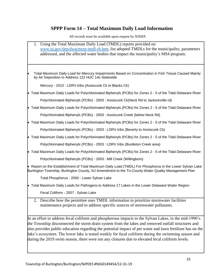## **SPPP Form 14 – Total Maximum Daily Load Information**

| 1. Using the Total Maximum Daily Load (TMDL) reports provided on<br>www.nj.gov/dep/dwq/msrp-tmdl-rh.htm, list adopted TMDLs for the municipality, parameters<br>addressed, and the affected water bodies that impact the municipality's MS4 program.                                                                                                                                                                                                                                                                               |
|------------------------------------------------------------------------------------------------------------------------------------------------------------------------------------------------------------------------------------------------------------------------------------------------------------------------------------------------------------------------------------------------------------------------------------------------------------------------------------------------------------------------------------|
| Total Maximum Daily Load for Mercury Impairments Based on Concentration in Fish Tissue Caused Mainly<br>by Air Deposition to Address 122 HUC 14s Statewide                                                                                                                                                                                                                                                                                                                                                                         |
| Mercury - 2010 : LDRV tribs (Assiscunk Ck to Blacks Ck)                                                                                                                                                                                                                                                                                                                                                                                                                                                                            |
| • Total Maximum Daily Loads for Polychlorinated Biphenyls (PCBs) for Zones 2 - 5 of the Tidal Delaware River                                                                                                                                                                                                                                                                                                                                                                                                                       |
| Polychlorinated Biphenyls (PCBs) - 2003 : Assiscunk Ck(Neck Rd to Jacksonville rd)                                                                                                                                                                                                                                                                                                                                                                                                                                                 |
| • Total Maximum Daily Loads for Polychlorinated Biphenyls (PCBs) for Zones 2 - 5 of the Tidal Delaware River                                                                                                                                                                                                                                                                                                                                                                                                                       |
| Polychlorinated Biphenyls (PCBs) - 2003 : Assiscunk Creek (below Neck Rd)                                                                                                                                                                                                                                                                                                                                                                                                                                                          |
| • Total Maximum Daily Loads for Polychlorinated Biphenyls (PCBs) for Zones 2 - 5 of the Tidal Delaware River                                                                                                                                                                                                                                                                                                                                                                                                                       |
| Polychlorinated Biphenyls (PCBs) - 2003 : LDRV tribs (Beverly to Assiscunk Ck)                                                                                                                                                                                                                                                                                                                                                                                                                                                     |
| • Total Maximum Daily Loads for Polychlorinated Biphenyls (PCBs) for Zones 2 - 5 of the Tidal Delaware River                                                                                                                                                                                                                                                                                                                                                                                                                       |
| Polychlorinated Biphenyls (PCBs) - 2003 : LDRV tribs (Bustleton Creek area)                                                                                                                                                                                                                                                                                                                                                                                                                                                        |
| • Total Maximum Daily Loads for Polychlorinated Biphenyls (PCBs) for Zones 2 - 5 of the Tidal Delaware River                                                                                                                                                                                                                                                                                                                                                                                                                       |
| Polychlorinated Biphenyls (PCBs) - 2003 : Mill Creek (Willingboro)                                                                                                                                                                                                                                                                                                                                                                                                                                                                 |
| • Report on the Establishment of Total Maximum Daily Load (TMDL) For Phosphorus in the Lower Sylvan Lake<br>Burlington Township, Burlington County, NJ Amendment to the Tri-County Water Quality Management Plan                                                                                                                                                                                                                                                                                                                   |
| Total Phosphorus - 2000 : Lower Sylvan Lake                                                                                                                                                                                                                                                                                                                                                                                                                                                                                        |
| • Total Maximum Daily Loads for Pathogens to Address 17 Lakes in the Lower Delaware Water Region                                                                                                                                                                                                                                                                                                                                                                                                                                   |
| Fecal Coliform - 2007 : Sylvan Lake                                                                                                                                                                                                                                                                                                                                                                                                                                                                                                |
| 2. Describe how the permittee uses TMDL information to prioritize stormwater facilities<br>maintenance projects and to address specific sources of stormwater pollutants.                                                                                                                                                                                                                                                                                                                                                          |
| In an effort to address fecal coliform and phosphorous impacts to the Sylvan Lakes, in the mid-1990's<br>the Township disconnected the storm drain system from the lakes and removed outfall structures and<br>also provides public education regarding the potential impact of pet waste and lawn fertilizer has on the<br>lake's ecosystem. The lower lake is tested weekly for fecal coliform during the swimming season and<br>during the 2019 swim season, there were not any closures due to elevated fecal coliform levels. |